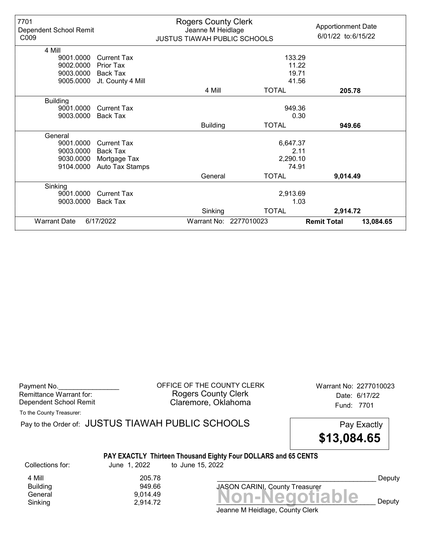| 7701<br>Dependent School Remit<br>C009 |                    | <b>Rogers County Clerk</b><br>Jeanne M Heidlage<br><b>JUSTUS TIAWAH PUBLIC SCHOOLS</b> |                        | <b>Apportionment Date</b><br>6/01/22 to:6/15/22 |           |
|----------------------------------------|--------------------|----------------------------------------------------------------------------------------|------------------------|-------------------------------------------------|-----------|
| 4 Mill                                 |                    |                                                                                        |                        |                                                 |           |
| 9001.0000                              | <b>Current Tax</b> |                                                                                        | 133.29                 |                                                 |           |
| 9002.0000                              | <b>Prior Tax</b>   |                                                                                        | 11.22                  |                                                 |           |
| 9003.0000                              | Back Tax           |                                                                                        | 19.71                  |                                                 |           |
| 9005.0000                              | Jt. County 4 Mill  |                                                                                        | 41.56                  |                                                 |           |
|                                        |                    | 4 Mill                                                                                 | <b>TOTAL</b>           | 205.78                                          |           |
| <b>Building</b>                        |                    |                                                                                        |                        |                                                 |           |
| 9001.0000                              | <b>Current Tax</b> |                                                                                        | 949.36                 |                                                 |           |
| 9003.0000                              | Back Tax           |                                                                                        | 0.30                   |                                                 |           |
|                                        |                    | <b>Building</b>                                                                        | <b>TOTAL</b>           | 949.66                                          |           |
| General                                |                    |                                                                                        |                        |                                                 |           |
| 9001.0000                              | Current Tax        |                                                                                        | 6,647.37               |                                                 |           |
| 9003.0000                              | <b>Back Tax</b>    |                                                                                        | 2.11                   |                                                 |           |
| 9030.0000                              | Mortgage Tax       |                                                                                        | 2,290.10               |                                                 |           |
| 9104.0000                              | Auto Tax Stamps    |                                                                                        | 74.91                  |                                                 |           |
|                                        |                    | General                                                                                | <b>TOTAL</b>           | 9,014.49                                        |           |
| Sinking                                |                    |                                                                                        |                        |                                                 |           |
| 9001.0000                              | Current Tax        |                                                                                        | 2,913.69               |                                                 |           |
| 9003.0000                              | <b>Back Tax</b>    |                                                                                        | 1.03                   |                                                 |           |
|                                        |                    | Sinking                                                                                | <b>TOTAL</b>           | 2,914.72                                        |           |
| <b>Warrant Date</b>                    | 6/17/2022          |                                                                                        | Warrant No: 2277010023 | <b>Remit Total</b>                              | 13,084.65 |

Payment No. 2277010023 COFFICE OF THE COUNTY CLERK Warrant No: 2277010023 Rogers County Clerk Date: 6/17/22 Dependent School Remit **Claremore, Oklahoma** Fund: 7701

To the County Treasurer:

Pay to the Order of: JUSTUS TIAWAH PUBLIC SCHOOLS Pay Exactly PAY EXACTLY Thirteen Thousand Eighty Four DOLLARS and 65 CENTS \$13,084.65 Collections for: June 1, 2022 to June 15, 2022

**Building** 

4 Mill 205.78<br>Building 205.78

 $G_{\text{eneral}}$ <br>General  $9,014.49$ <br>Sinking  $2,914.72$   $\blacksquare$   $\blacksquare$   $\blacksquare$   $\blacksquare$   $\blacksquare$   $\blacksquare$   $\blacksquare$   $\blacksquare$   $\blacksquare$   $\blacksquare$   $\blacksquare$   $\blacksquare$ Sinking  $2,914.72$   $2,914.72$   $3.914.72$   $3.914.72$   $3.914.72$   $3.914.72$   $3.914.72$   $3.914.72$   $3.914.72$   $3.914.72$   $3.914.72$   $3.914.72$   $3.914.72$   $3.914.72$   $3.914.72$   $3.914.72$   $3.914.72$   $3.914.72$   $3.914.72$   $3.9$ 

Deputy

Jeanne M Heidlage, County Clerk

JASON CARINI, County Treasurer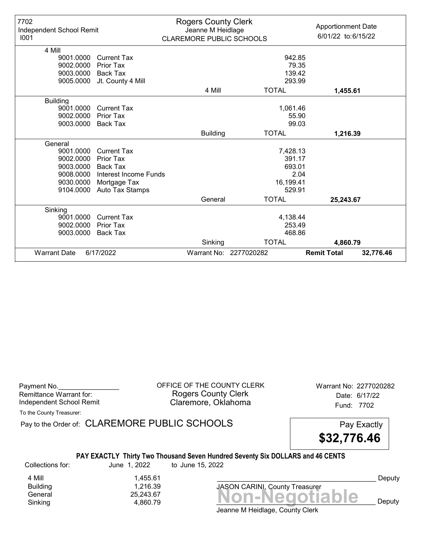| 7702<br>Independent School Remit<br>1001 |                       | <b>Rogers County Clerk</b><br>Jeanne M Heidlage<br><b>CLAREMORE PUBLIC SCHOOLS</b> |                        | <b>Apportionment Date</b><br>6/01/22 to:6/15/22 |
|------------------------------------------|-----------------------|------------------------------------------------------------------------------------|------------------------|-------------------------------------------------|
| 4 Mill                                   |                       |                                                                                    |                        |                                                 |
| 9001.0000                                | <b>Current Tax</b>    |                                                                                    | 942.85                 |                                                 |
| 9002.0000                                | Prior Tax             |                                                                                    | 79.35                  |                                                 |
| 9003.0000                                | Back Tax              |                                                                                    | 139.42                 |                                                 |
| 9005.0000                                | Jt. County 4 Mill     |                                                                                    | 293.99                 |                                                 |
|                                          |                       | 4 Mill                                                                             | <b>TOTAL</b>           | 1,455.61                                        |
| <b>Building</b>                          |                       |                                                                                    |                        |                                                 |
| 9001.0000                                | <b>Current Tax</b>    |                                                                                    | 1,061.46               |                                                 |
| 9002.0000                                | <b>Prior Tax</b>      |                                                                                    | 55.90                  |                                                 |
| 9003.0000                                | Back Tax              |                                                                                    | 99.03                  |                                                 |
|                                          |                       | <b>Building</b>                                                                    | <b>TOTAL</b>           | 1,216.39                                        |
| General                                  |                       |                                                                                    |                        |                                                 |
| 9001.0000                                | <b>Current Tax</b>    |                                                                                    | 7,428.13               |                                                 |
| 9002.0000                                | Prior Tax             |                                                                                    | 391.17                 |                                                 |
| 9003.0000                                | <b>Back Tax</b>       |                                                                                    | 693.01                 |                                                 |
| 9008.0000                                | Interest Income Funds |                                                                                    |                        | 2.04                                            |
| 9030.0000                                | Mortgage Tax          |                                                                                    | 16,199.41              |                                                 |
| 9104.0000                                | Auto Tax Stamps       |                                                                                    | 529.91                 |                                                 |
|                                          |                       | General                                                                            | <b>TOTAL</b>           | 25,243.67                                       |
| Sinking                                  |                       |                                                                                    |                        |                                                 |
| 9001.0000                                | <b>Current Tax</b>    |                                                                                    | 4,138.44               |                                                 |
| 9002.0000                                | Prior Tax             |                                                                                    | 253.49                 |                                                 |
| 9003.0000                                | <b>Back Tax</b>       |                                                                                    | 468.86                 |                                                 |
|                                          |                       | Sinking                                                                            | <b>TOTAL</b>           | 4,860.79                                        |
| <b>Warrant Date</b>                      | 6/17/2022             |                                                                                    | Warrant No: 2277020282 | <b>Remit Total</b><br>32,776.46                 |

Payment No. 2277020282 CORPICE OF THE COUNTY CLERK Warrant No: 2277020282 Rogers County Clerk Date: 6/17/22 Independent School Remit **Claremore, Oklahoma** Fund: 7702

To the County Treasurer:

Pay to the Order of: CLAREMORE PUBLIC SCHOOLS Pay Exactly

\$32,776.46

#### PAY EXACTLY Thirty Two Thousand Seven Hundred Seventy Six DOLLARS and 46 CENTS

Collections for: June 1, 2022 to June 15, 2022

4 Mill 1,455.61<br>Building 1,216.39 1,216.39

General 25,243.67<br>General 25,243.67<br>Sinking 4,860.79 **Non-Negotiable** Sinking and  $4,860.79$  and  $4,860.79$  and  $4,860.79$  and  $4,860.79$  and  $4,860.79$  and  $4,860.79$  and  $4,860.79$  and  $4,860.79$  and  $4,860.79$  and  $4,860.79$  and  $4,860.79$  and  $4,860.79$  and  $4,860.79$  and  $4,860.79$  and

JASON CARINI, County Treasurer

Deputy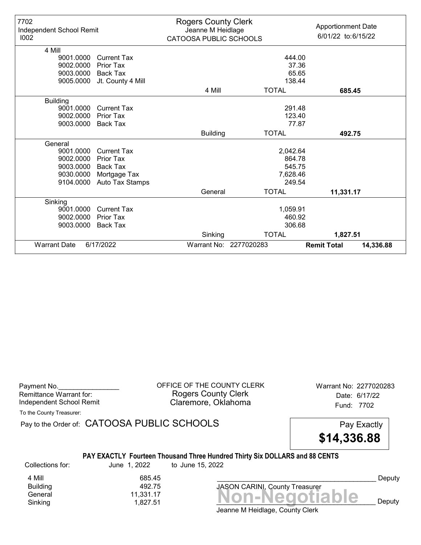| 7702<br>Independent School Remit<br>1002 |                    | <b>Rogers County Clerk</b><br>Jeanne M Heidlage<br>CATOOSA PUBLIC SCHOOLS |                        | <b>Apportionment Date</b><br>6/01/22 to:6/15/22 |
|------------------------------------------|--------------------|---------------------------------------------------------------------------|------------------------|-------------------------------------------------|
| 4 Mill                                   |                    |                                                                           |                        |                                                 |
| 9001.0000                                | <b>Current Tax</b> |                                                                           | 444.00                 |                                                 |
| 9002.0000                                | <b>Prior Tax</b>   |                                                                           | 37.36                  |                                                 |
| 9003.0000                                | <b>Back Tax</b>    |                                                                           | 65.65                  |                                                 |
| 9005.0000                                | Jt. County 4 Mill  |                                                                           | 138.44                 |                                                 |
|                                          |                    | 4 Mill                                                                    | <b>TOTAL</b>           | 685.45                                          |
| <b>Building</b>                          |                    |                                                                           |                        |                                                 |
| 9001.0000                                | <b>Current Tax</b> |                                                                           | 291.48                 |                                                 |
| 9002.0000                                | Prior Tax          |                                                                           | 123.40                 |                                                 |
| 9003.0000                                | <b>Back Tax</b>    |                                                                           | 77.87                  |                                                 |
|                                          |                    | <b>Building</b>                                                           | <b>TOTAL</b>           | 492.75                                          |
| General                                  |                    |                                                                           |                        |                                                 |
| 9001.0000                                | <b>Current Tax</b> |                                                                           | 2,042.64               |                                                 |
| 9002.0000                                | Prior Tax          |                                                                           | 864.78                 |                                                 |
| 9003.0000                                | <b>Back Tax</b>    |                                                                           | 545.75                 |                                                 |
| 9030.0000                                | Mortgage Tax       |                                                                           | 7,628.46               |                                                 |
| 9104.0000                                | Auto Tax Stamps    |                                                                           | 249.54                 |                                                 |
|                                          |                    | General                                                                   | <b>TOTAL</b>           | 11,331.17                                       |
| Sinking                                  |                    |                                                                           |                        |                                                 |
| 9001.0000                                | <b>Current Tax</b> |                                                                           | 1,059.91               |                                                 |
| 9002.0000                                | <b>Prior Tax</b>   |                                                                           | 460.92                 |                                                 |
| 9003.0000                                | <b>Back Tax</b>    |                                                                           | 306.68                 |                                                 |
|                                          |                    | Sinking                                                                   | <b>TOTAL</b>           | 1,827.51                                        |
| <b>Warrant Date</b>                      | 6/17/2022          |                                                                           | Warrant No: 2277020283 | <b>Remit Total</b><br>14,336.88                 |

| Payment No.              |  |
|--------------------------|--|
| Remittance Warrant for:  |  |
| Independent School Remit |  |

OFFICE OF THE COUNTY CLERK Warrant No: 2277020283 Rogers County Clerk Date: 6/17/22 Claremore, Oklahoma<br>
Fund: 7702

To the County Treasurer:

Pay to the Order of: CATOOSA PUBLIC SCHOOLS Pay Exactly

\$14,336.88

## PAY EXACTLY Fourteen Thousand Three Hundred Thirty Six DOLLARS and 88 CENTS

Collections for: June 1, 2022 to June 15, 2022

4 Mill 685.45<br>Building 492.75 **Building** 

Banding<br>General 11,331.17<br>Sinking 1,827.51 **Non-Negotiable** Sinking and  $1,827.51$  and  $1,827.51$  and  $1,827.51$  and  $1,827.51$  and  $1,827.51$  and  $1,827.51$  and  $1,827.51$  and  $1,827.51$  and  $1,827.51$  and  $1,827.51$  and  $1,827.51$  and  $1,827.51$  and  $1,827.51$  and  $1,827.51$  and

JASON CARINI, County Treasurer

Deputy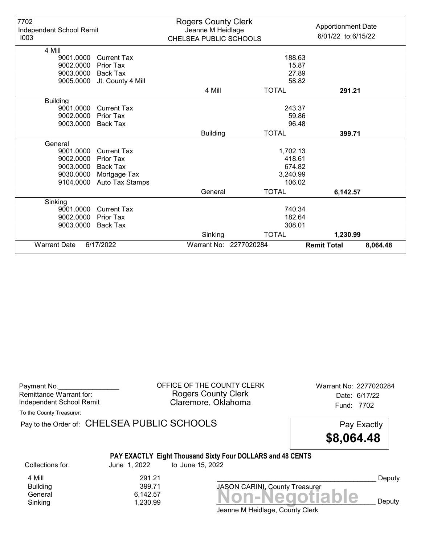| 7702<br>Independent School Remit<br>1003 |                    | <b>Rogers County Clerk</b><br>Jeanne M Heidlage<br>CHELSEA PUBLIC SCHOOLS |                        | <b>Apportionment Date</b><br>6/01/22 to:6/15/22 |
|------------------------------------------|--------------------|---------------------------------------------------------------------------|------------------------|-------------------------------------------------|
| 4 Mill                                   |                    |                                                                           |                        |                                                 |
| 9001.0000                                | <b>Current Tax</b> |                                                                           | 188.63                 |                                                 |
| 9002.0000                                | Prior Tax          |                                                                           | 15.87                  |                                                 |
| 9003.0000                                | <b>Back Tax</b>    |                                                                           | 27.89                  |                                                 |
| 9005.0000                                | Jt. County 4 Mill  |                                                                           | 58.82                  |                                                 |
|                                          |                    | 4 Mill                                                                    | <b>TOTAL</b>           | 291.21                                          |
| <b>Building</b>                          |                    |                                                                           |                        |                                                 |
| 9001.0000                                | <b>Current Tax</b> |                                                                           | 243.37                 |                                                 |
| 9002.0000                                | <b>Prior Tax</b>   |                                                                           | 59.86                  |                                                 |
| 9003.0000                                | Back Tax           |                                                                           | 96.48                  |                                                 |
|                                          |                    | <b>Building</b>                                                           | <b>TOTAL</b>           | 399.71                                          |
| General                                  |                    |                                                                           |                        |                                                 |
| 9001.0000                                | <b>Current Tax</b> |                                                                           | 1,702.13               |                                                 |
| 9002.0000                                | Prior Tax          |                                                                           | 418.61                 |                                                 |
| 9003.0000                                | <b>Back Tax</b>    |                                                                           | 674.82                 |                                                 |
| 9030.0000                                | Mortgage Tax       |                                                                           | 3,240.99               |                                                 |
| 9104.0000                                | Auto Tax Stamps    |                                                                           | 106.02                 |                                                 |
|                                          |                    | General                                                                   | <b>TOTAL</b>           | 6,142.57                                        |
| Sinking                                  |                    |                                                                           |                        |                                                 |
| 9001.0000                                | <b>Current Tax</b> |                                                                           | 740.34                 |                                                 |
| 9002.0000                                | Prior Tax          |                                                                           | 182.64                 |                                                 |
| 9003.0000                                | <b>Back Tax</b>    |                                                                           | 308.01                 |                                                 |
|                                          |                    | Sinking                                                                   | <b>TOTAL</b>           | 1,230.99                                        |
| <b>Warrant Date</b>                      | 6/17/2022          |                                                                           | Warrant No: 2277020284 | <b>Remit Total</b><br>8,064.48                  |

| Payment No.<br>Remittance Warrant for:<br>Independent School Remit |                                          | OFFICE OF THE COUNTY CLERK<br><b>Rogers County Clerk</b><br>Claremore, Oklahoma | Warrant No: 2277020284<br>Date: 6/17/22<br>Fund: 7702 |  |
|--------------------------------------------------------------------|------------------------------------------|---------------------------------------------------------------------------------|-------------------------------------------------------|--|
| To the County Treasurer:                                           |                                          |                                                                                 |                                                       |  |
| Pay to the Order of: CHELSEA PUBLIC SCHOOLS                        |                                          |                                                                                 | Pay Exactly<br>\$8,064.48                             |  |
|                                                                    |                                          | PAY EXACTLY Eight Thousand Sixty Four DOLLARS and 48 CENTS                      |                                                       |  |
| Collections for:                                                   | June 1, 2022                             | to June 15, 2022                                                                |                                                       |  |
| 4 Mill<br><b>Building</b><br>General<br>Sinking                    | 291.21<br>399.71<br>6,142.57<br>1,230.99 | <b>JASON CARINI, County Treasurer</b><br>Jeanne M Heidlage, County Clerk        | Deputy<br>Non-Negotiable<br>Deputy                    |  |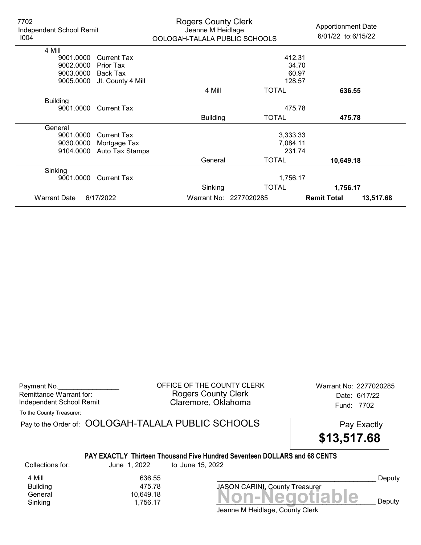| 7702<br>Independent School Remit<br>1004 |                    | <b>Rogers County Clerk</b><br>Jeanne M Heidlage<br>OOLOGAH-TALALA PUBLIC SCHOOLS |                        | <b>Apportionment Date</b><br>6/01/22 to:6/15/22 |           |
|------------------------------------------|--------------------|----------------------------------------------------------------------------------|------------------------|-------------------------------------------------|-----------|
| 4 Mill                                   |                    |                                                                                  |                        |                                                 |           |
| 9001.0000                                | <b>Current Tax</b> |                                                                                  | 412.31                 |                                                 |           |
| 9002.0000                                | Prior Tax          |                                                                                  | 34.70                  |                                                 |           |
| 9003.0000                                | Back Tax           |                                                                                  | 60.97                  |                                                 |           |
| 9005.0000                                | Jt. County 4 Mill  |                                                                                  | 128.57                 |                                                 |           |
|                                          |                    | 4 Mill                                                                           | <b>TOTAL</b>           | 636.55                                          |           |
| <b>Building</b>                          |                    |                                                                                  |                        |                                                 |           |
| 9001.0000                                | <b>Current Tax</b> |                                                                                  | 475.78                 |                                                 |           |
|                                          |                    | <b>Building</b>                                                                  | <b>TOTAL</b>           | 475.78                                          |           |
| General                                  |                    |                                                                                  |                        |                                                 |           |
| 9001.0000                                | <b>Current Tax</b> |                                                                                  | 3,333.33               |                                                 |           |
| 9030.0000                                | Mortgage Tax       |                                                                                  | 7,084.11               |                                                 |           |
| 9104.0000                                | Auto Tax Stamps    |                                                                                  | 231.74                 |                                                 |           |
|                                          |                    | General                                                                          | <b>TOTAL</b>           | 10,649.18                                       |           |
| Sinking                                  |                    |                                                                                  |                        |                                                 |           |
| 9001.0000                                | <b>Current Tax</b> |                                                                                  | 1,756.17               |                                                 |           |
|                                          |                    | Sinking                                                                          | <b>TOTAL</b>           | 1,756.17                                        |           |
| <b>Warrant Date</b>                      | 6/17/2022          |                                                                                  | Warrant No: 2277020285 | <b>Remit Total</b>                              | 13,517.68 |

Payment No. 2277020285 CORPICE OF THE COUNTY CLERK Warrant No: 2277020285 Rogers County Clerk Date: 6/17/22 Independent School Remit **Claremore, Oklahoma** Fund: 7702

To the County Treasurer:

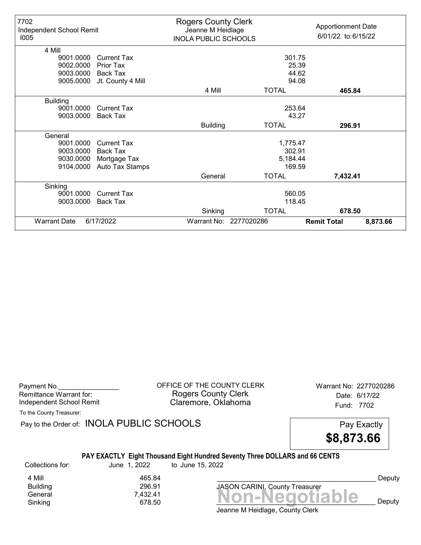| 7702<br>Independent School Remit<br>1005 |                    | <b>Rogers County Clerk</b><br>Jeanne M Heidlage<br><b>INOLA PUBLIC SCHOOLS</b> |                        | <b>Apportionment Date</b><br>6/01/22 to:6/15/22 |          |
|------------------------------------------|--------------------|--------------------------------------------------------------------------------|------------------------|-------------------------------------------------|----------|
| 4 Mill                                   |                    |                                                                                |                        |                                                 |          |
| 9001.0000                                | <b>Current Tax</b> |                                                                                | 301.75                 |                                                 |          |
| 9002.0000                                | Prior Tax          |                                                                                | 25.39                  |                                                 |          |
| 9003.0000                                | Back Tax           |                                                                                | 44.62                  |                                                 |          |
| 9005.0000                                | Jt. County 4 Mill  |                                                                                | 94.08                  |                                                 |          |
|                                          |                    | 4 Mill                                                                         | <b>TOTAL</b>           | 465.84                                          |          |
| <b>Building</b>                          |                    |                                                                                |                        |                                                 |          |
| 9001.0000                                | <b>Current Tax</b> |                                                                                | 253.64                 |                                                 |          |
| 9003.0000                                | <b>Back Tax</b>    |                                                                                | 43.27                  |                                                 |          |
|                                          |                    | <b>Building</b>                                                                | <b>TOTAL</b>           | 296.91                                          |          |
| General                                  |                    |                                                                                |                        |                                                 |          |
| 9001.0000                                | Current Tax        |                                                                                | 1,775.47               |                                                 |          |
| 9003.0000                                | Back Tax           |                                                                                | 302.91                 |                                                 |          |
| 9030.0000                                | Mortgage Tax       |                                                                                | 5,184.44               |                                                 |          |
| 9104.0000                                | Auto Tax Stamps    |                                                                                | 169.59                 |                                                 |          |
|                                          |                    | General                                                                        | <b>TOTAL</b>           | 7,432.41                                        |          |
| Sinking                                  |                    |                                                                                |                        |                                                 |          |
| 9001.0000                                | <b>Current Tax</b> |                                                                                | 560.05                 |                                                 |          |
| 9003.0000                                | <b>Back Tax</b>    |                                                                                | 118.45                 |                                                 |          |
|                                          |                    | Sinking                                                                        | <b>TOTAL</b>           | 678.50                                          |          |
| <b>Warrant Date</b>                      | 6/17/2022          |                                                                                | Warrant No: 2277020286 | <b>Remit Total</b>                              | 8,873.66 |

| Payment No.              |  |
|--------------------------|--|
| Remittance Warrant for:  |  |
| Independent School Remit |  |

OFFICE OF THE COUNTY CLERK Warrant No: 2277020286 Rogers County Clerk Date: 6/17/22 Claremore, Oklahoma<br>
Fund: 7702

To the County Treasurer:

Pay to the Order of: INOLA PUBLIC SCHOOLS Pay Exactly



## PAY EXACTLY Eight Thousand Eight Hundred Seventy Three DOLLARS and 66 CENTS

Collections for: June 1, 2022 to June 15, 2022

**Building** 

4 Mill 465.84<br>Building 296.91

Banding<br>General 7,432.41 7,432.41 **Non-Negotiable** Sinking 678.50  $\overline{S}$  678.50  $\overline{S}$ 

Deputy

Jeanne M Heidlage, County Clerk

JASON CARINI, County Treasurer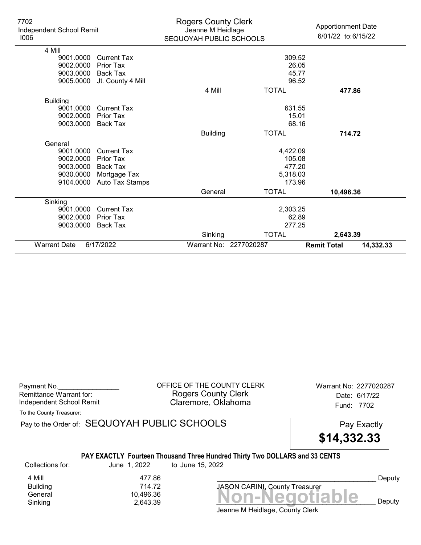| 7702<br>Independent School Remit<br>1006 |                    | <b>Rogers County Clerk</b><br>Jeanne M Heidlage<br>SEQUOYAH PUBLIC SCHOOLS |                        | <b>Apportionment Date</b><br>6/01/22 to:6/15/22 |
|------------------------------------------|--------------------|----------------------------------------------------------------------------|------------------------|-------------------------------------------------|
| 4 Mill                                   |                    |                                                                            |                        |                                                 |
| 9001.0000                                | <b>Current Tax</b> |                                                                            | 309.52                 |                                                 |
| 9002.0000                                | <b>Prior Tax</b>   |                                                                            | 26.05                  |                                                 |
| 9003.0000                                | <b>Back Tax</b>    |                                                                            | 45.77                  |                                                 |
| 9005.0000                                | Jt. County 4 Mill  |                                                                            | 96.52                  |                                                 |
|                                          |                    | 4 Mill                                                                     | <b>TOTAL</b>           | 477.86                                          |
| <b>Building</b>                          |                    |                                                                            |                        |                                                 |
| 9001.0000                                | <b>Current Tax</b> |                                                                            | 631.55                 |                                                 |
| 9002.0000                                | Prior Tax          |                                                                            | 15.01                  |                                                 |
| 9003.0000                                | <b>Back Tax</b>    |                                                                            | 68.16                  |                                                 |
|                                          |                    | <b>Building</b>                                                            | <b>TOTAL</b>           | 714.72                                          |
| General                                  |                    |                                                                            |                        |                                                 |
| 9001.0000                                | <b>Current Tax</b> |                                                                            | 4,422.09               |                                                 |
| 9002.0000                                | Prior Tax          |                                                                            | 105.08                 |                                                 |
| 9003.0000                                | <b>Back Tax</b>    |                                                                            | 477.20                 |                                                 |
| 9030.0000                                | Mortgage Tax       |                                                                            | 5,318.03               |                                                 |
| 9104.0000                                | Auto Tax Stamps    |                                                                            | 173.96                 |                                                 |
|                                          |                    | General                                                                    | <b>TOTAL</b>           | 10,496.36                                       |
| Sinking                                  |                    |                                                                            |                        |                                                 |
| 9001.0000                                | <b>Current Tax</b> |                                                                            | 2,303.25               |                                                 |
| 9002.0000                                | <b>Prior Tax</b>   |                                                                            | 62.89                  |                                                 |
| 9003.0000                                | <b>Back Tax</b>    |                                                                            | 277.25                 |                                                 |
|                                          |                    | Sinking                                                                    | <b>TOTAL</b>           | 2,643.39                                        |
| <b>Warrant Date</b>                      | 6/17/2022          |                                                                            | Warrant No: 2277020287 | <b>Remit Total</b><br>14,332.33                 |

| Payment No.                     |  |
|---------------------------------|--|
| Remittance Warrant for:         |  |
| <b>Independent School Remit</b> |  |

OFFICE OF THE COUNTY CLERK Warrant No: 2277020287 Rogers County Clerk Date: 6/17/22 Claremore, Oklahoma<br>
Fund: 7702

To the County Treasurer:

Pay to the Order of: SEQUOYAH PUBLIC SCHOOLS Pay Exactly

\$14,332.33

## PAY EXACTLY Fourteen Thousand Three Hundred Thirty Two DOLLARS and 33 CENTS

Collections for: June 1, 2022 to June 15, 2022

**Building** 

4 Mill 477.86<br>Building 714.72

Jeanne M Heidlage, County Clerk Banding<br>General 10,496.36<br>Sinking 2,643.39 **Non-Negotiable** Sinking 2,643.39 \_\_\_\_\_\_\_\_\_\_\_\_\_\_\_\_\_\_\_\_\_\_\_\_\_\_\_\_\_\_\_\_\_\_\_\_\_\_\_\_\_\_ Deputy

JASON CARINI, County Treasurer

Deputy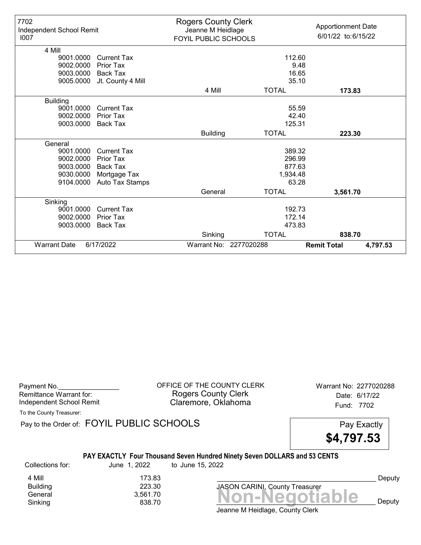| 7702<br>Independent School Remit<br>1007 |                    | <b>Rogers County Clerk</b><br>Jeanne M Heidlage<br>FOYIL PUBLIC SCHOOLS |                        | <b>Apportionment Date</b><br>6/01/22 to:6/15/22 |          |
|------------------------------------------|--------------------|-------------------------------------------------------------------------|------------------------|-------------------------------------------------|----------|
| 4 Mill                                   |                    |                                                                         |                        |                                                 |          |
| 9001.0000                                | <b>Current Tax</b> |                                                                         | 112.60                 |                                                 |          |
| 9002.0000                                | Prior Tax          |                                                                         |                        | 9.48                                            |          |
| 9003.0000                                | Back Tax           |                                                                         | 16.65                  |                                                 |          |
| 9005.0000                                | Jt. County 4 Mill  |                                                                         | 35.10                  |                                                 |          |
|                                          |                    | 4 Mill                                                                  | <b>TOTAL</b>           | 173.83                                          |          |
| <b>Building</b>                          |                    |                                                                         |                        |                                                 |          |
| 9001.0000                                | <b>Current Tax</b> |                                                                         | 55.59                  |                                                 |          |
| 9002.0000                                | Prior Tax          |                                                                         | 42.40                  |                                                 |          |
| 9003.0000                                | <b>Back Tax</b>    |                                                                         | 125.31                 |                                                 |          |
|                                          |                    | <b>Building</b>                                                         | <b>TOTAL</b>           | 223.30                                          |          |
| General                                  |                    |                                                                         |                        |                                                 |          |
| 9001.0000                                | <b>Current Tax</b> |                                                                         | 389.32                 |                                                 |          |
| 9002.0000                                | <b>Prior Tax</b>   |                                                                         | 296.99                 |                                                 |          |
| 9003.0000                                | <b>Back Tax</b>    |                                                                         | 877.63                 |                                                 |          |
| 9030.0000                                | Mortgage Tax       |                                                                         | 1,934.48               |                                                 |          |
| 9104.0000                                | Auto Tax Stamps    |                                                                         | 63.28                  |                                                 |          |
|                                          |                    | General                                                                 | <b>TOTAL</b>           | 3,561.70                                        |          |
| Sinking                                  |                    |                                                                         |                        |                                                 |          |
| 9001.0000                                | <b>Current Tax</b> |                                                                         | 192.73                 |                                                 |          |
| 9002.0000                                | Prior Tax          |                                                                         | 172.14                 |                                                 |          |
| 9003.0000                                | <b>Back Tax</b>    |                                                                         | 473.83                 |                                                 |          |
|                                          |                    | Sinking                                                                 | <b>TOTAL</b>           | 838.70                                          |          |
| <b>Warrant Date</b>                      | 6/17/2022          |                                                                         | Warrant No: 2277020288 | <b>Remit Total</b>                              | 4,797.53 |

| Payment No.              |  |
|--------------------------|--|
| Remittance Warrant for:  |  |
| Independent School Remit |  |

OFFICE OF THE COUNTY CLERK Warrant No: 2277020288 Rogers County Clerk Date: 6/17/22 Claremore, Oklahoma<br>
Fund: 7702

To the County Treasurer:

Pay to the Order of: FOYIL PUBLIC SCHOOLS Pay Exactly

\$4,797.53

## PAY EXACTLY Four Thousand Seven Hundred Ninety Seven DOLLARS and 53 CENTS

Collections for: June 1, 2022 to June 15, 2022

**Building** 

 $S_{\text{energy}}$ <br>General  $3,561.70$ <br>Sinking  $838.70$   $\text{Non-Negotiable}$ Sinking  $838.70$   $838.70$   $838.70$   $838.70$   $838.70$ 4 Mill 173.83<br>Building 223.30

JASON CARINI, County Treasurer

Deputy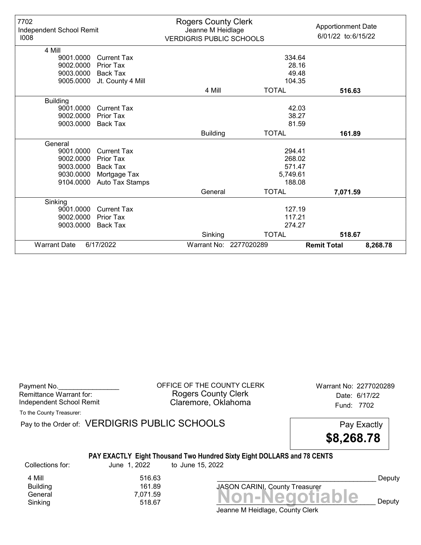| 7702<br>Independent School Remit<br>1008 |                    | <b>Rogers County Clerk</b><br>Jeanne M Heidlage<br><b>VERDIGRIS PUBLIC SCHOOLS</b> |                        | <b>Apportionment Date</b><br>6/01/22 to:6/15/22 |
|------------------------------------------|--------------------|------------------------------------------------------------------------------------|------------------------|-------------------------------------------------|
| 4 Mill                                   |                    |                                                                                    |                        |                                                 |
| 9001.0000                                | <b>Current Tax</b> |                                                                                    | 334.64                 |                                                 |
| 9002.0000                                | <b>Prior Tax</b>   |                                                                                    | 28.16                  |                                                 |
| 9003.0000                                | <b>Back Tax</b>    |                                                                                    | 49.48                  |                                                 |
| 9005.0000                                | Jt. County 4 Mill  |                                                                                    | 104.35                 |                                                 |
|                                          |                    | 4 Mill                                                                             | <b>TOTAL</b>           | 516.63                                          |
| <b>Building</b>                          |                    |                                                                                    |                        |                                                 |
| 9001.0000                                | <b>Current Tax</b> |                                                                                    | 42.03                  |                                                 |
| 9002.0000                                | Prior Tax          |                                                                                    | 38.27                  |                                                 |
| 9003.0000                                | <b>Back Tax</b>    |                                                                                    | 81.59                  |                                                 |
|                                          |                    | <b>Building</b>                                                                    | <b>TOTAL</b>           | 161.89                                          |
| General                                  |                    |                                                                                    |                        |                                                 |
| 9001.0000                                | <b>Current Tax</b> |                                                                                    | 294.41                 |                                                 |
| 9002.0000                                | Prior Tax          |                                                                                    | 268.02                 |                                                 |
| 9003.0000                                | <b>Back Tax</b>    |                                                                                    | 571.47                 |                                                 |
| 9030.0000                                | Mortgage Tax       |                                                                                    | 5,749.61               |                                                 |
| 9104.0000                                | Auto Tax Stamps    |                                                                                    | 188.08                 |                                                 |
|                                          |                    | General                                                                            | <b>TOTAL</b>           | 7,071.59                                        |
| Sinking                                  |                    |                                                                                    |                        |                                                 |
| 9001.0000                                | <b>Current Tax</b> |                                                                                    | 127.19                 |                                                 |
| 9002.0000                                | <b>Prior Tax</b>   |                                                                                    | 117.21                 |                                                 |
| 9003.0000                                | <b>Back Tax</b>    |                                                                                    | 274.27                 |                                                 |
|                                          |                    | Sinking                                                                            | <b>TOTAL</b>           | 518.67                                          |
| <b>Warrant Date</b>                      | 6/17/2022          |                                                                                    | Warrant No: 2277020289 | <b>Remit Total</b><br>8,268.78                  |

| Payment No.              |  |
|--------------------------|--|
| Remittance Warrant for:  |  |
| Independent School Remit |  |

OFFICE OF THE COUNTY CLERK Warrant No: 2277020289 Rogers County Clerk Date: 6/17/22 Claremore, Oklahoma<br>
Fund: 7702

To the County Treasurer:

Pay to the Order of: VERDIGRIS PUBLIC SCHOOLS Pay Exactly

\$8,268.78

## PAY EXACTLY Eight Thousand Two Hundred Sixty Eight DOLLARS and 78 CENTS

Collections for: June 1, 2022 to June 15, 2022

4 Mill 516.63 Building 161.89

General 7,071.59<br>Sinking 518.67 Mon-Negotiable Sinking  $518.67$   $518.67$   $518.67$   $518.67$ JASON CARINI, County Treasurer

Deputy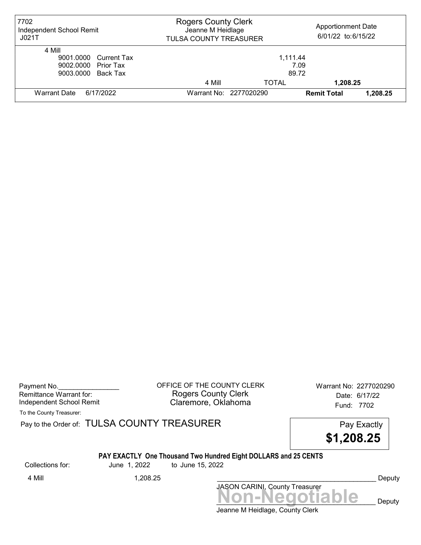| 7702<br>Independent School Remit<br>JO21T                                    | <b>Rogers County Clerk</b><br><b>Apportionment Date</b><br>Jeanne M Heidlage<br>6/01/22 to:6/15/22<br>TULSA COUNTY TREASURER |                           |                    |          |
|------------------------------------------------------------------------------|------------------------------------------------------------------------------------------------------------------------------|---------------------------|--------------------|----------|
| 4 Mill<br>9001.0000 Current Tax<br>9002.0000 Prior Tax<br>9003.0000 Back Tax |                                                                                                                              | 1.111.44<br>7.09<br>89.72 |                    |          |
|                                                                              | 4 Mill                                                                                                                       | TOTAL                     | 1,208.25           |          |
| <b>Warrant Date</b><br>6/17/2022                                             |                                                                                                                              | Warrant No: 2277020290    | <b>Remit Total</b> | 1,208.25 |

Payment No. 2277020290<br>
OFFICE OF THE COUNTY CLERK Warrant No: 2277020290 Rogers County Clerk Date: 6/17/22 Independent School Remit Claremore, Oklahoma Fund: 7702

To the County Treasurer:

Pay to the Order of: TULSA COUNTY TREASURER Pay to the Order of: TULSA COUNTY TREASURER

\$1,208.25

#### PAY EXACTLY One Thousand Two Hundred Eight DOLLARS and 25 CENTS

Collections for: June 1, 2022 to June 15, 2022

JASON CARINI, County Treasurer 4 Mill 1,208.25 \_\_\_\_\_\_\_\_\_\_\_\_\_\_\_\_\_\_\_\_\_\_\_\_\_\_\_\_\_\_\_\_\_\_\_\_\_\_\_\_\_\_ Deputy

Jeanne M Heidlage, County Clerk Non-Negotiable Deputy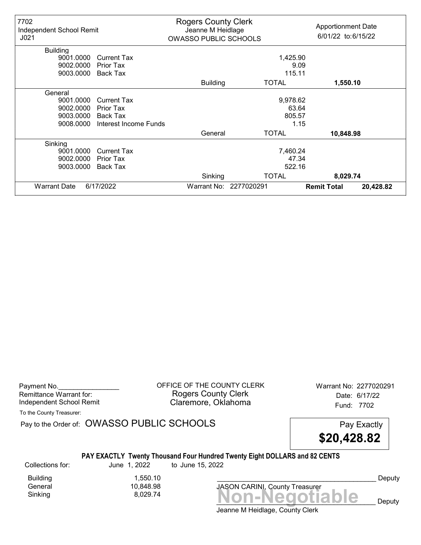| 7702<br>Independent School Remit<br>J <sub>021</sub> |                       | <b>Rogers County Clerk</b><br>Jeanne M Heidlage<br><b>OWASSO PUBLIC SCHOOLS</b> |                        | <b>Apportionment Date</b><br>6/01/22 to:6/15/22 |           |
|------------------------------------------------------|-----------------------|---------------------------------------------------------------------------------|------------------------|-------------------------------------------------|-----------|
| <b>Building</b>                                      |                       |                                                                                 |                        |                                                 |           |
| 9001.0000                                            | <b>Current Tax</b>    |                                                                                 | 1,425.90               |                                                 |           |
| 9002.0000                                            | <b>Prior Tax</b>      |                                                                                 |                        | 9.09                                            |           |
| 9003.0000                                            | Back Tax              |                                                                                 | 115.11                 |                                                 |           |
|                                                      |                       | <b>Building</b>                                                                 | <b>TOTAL</b>           | 1,550.10                                        |           |
| General                                              |                       |                                                                                 |                        |                                                 |           |
| 9001.0000                                            | <b>Current Tax</b>    |                                                                                 | 9,978.62               |                                                 |           |
| 9002.0000                                            | Prior Tax             |                                                                                 | 63.64                  |                                                 |           |
| 9003.0000                                            | Back Tax              |                                                                                 | 805.57                 |                                                 |           |
| 9008.0000                                            | Interest Income Funds |                                                                                 |                        | 1.15                                            |           |
|                                                      |                       | General                                                                         | <b>TOTAL</b>           | 10,848.98                                       |           |
| Sinking                                              |                       |                                                                                 |                        |                                                 |           |
| 9001.0000                                            | <b>Current Tax</b>    |                                                                                 | 7,460.24               |                                                 |           |
| 9002.0000                                            | <b>Prior Tax</b>      |                                                                                 | 47.34                  |                                                 |           |
| 9003.0000                                            | <b>Back Tax</b>       |                                                                                 | 522.16                 |                                                 |           |
|                                                      |                       | Sinking                                                                         | <b>TOTAL</b>           | 8,029.74                                        |           |
| <b>Warrant Date</b>                                  | 6/17/2022             |                                                                                 | Warrant No: 2277020291 | <b>Remit Total</b>                              | 20,428.82 |

Payment No. 2277020291 COFFICE OF THE COUNTY CLERK Warrant No: 2277020291 Rogers County Clerk Date: 6/17/22 Independent School Remit **Claremore, Oklahoma** Fund: 7702

To the County Treasurer:

Pay to the Order of: OWASSO PUBLIC SCHOOLS Pay Exactly

\$20,428.82

### PAY EXACTLY Twenty Thousand Four Hundred Twenty Eight DOLLARS and 82 CENTS

Collections for: June 1, 2022 to June 15, 2022

 $Sinking$ <br> $8,029.74$   $Non-Negotiable$ Building 1,550.10<br>General 10,848.98 10,848.98<br>8,029.74

JASON CARINI, County Treasurer

Deputy

Deputy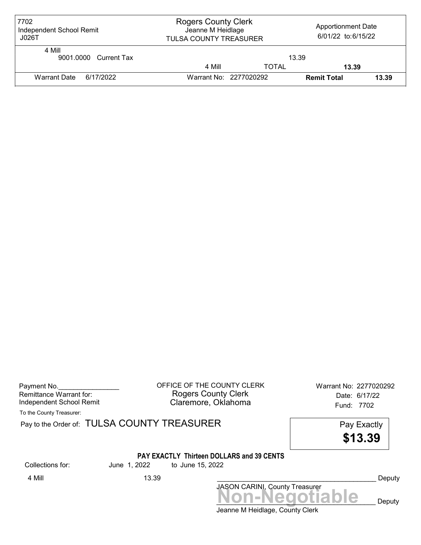| 7702<br>Independent School Remit<br>J026T |                        | <b>Rogers County Clerk</b><br><b>Apportionment Date</b><br>Jeanne M Heidlage<br>6/01/22 to:6/15/22<br>TULSA COUNTY TREASURER |                    |       |
|-------------------------------------------|------------------------|------------------------------------------------------------------------------------------------------------------------------|--------------------|-------|
| 4 Mill<br>9001.0000 Current Tax           |                        | 13.39                                                                                                                        |                    |       |
|                                           | 4 Mill                 | <b>TOTAL</b>                                                                                                                 | 13.39              |       |
| Warrant Date 6/17/2022                    | Warrant No: 2277020292 |                                                                                                                              | <b>Remit Total</b> | 13.39 |

Payment No. 2277020292 COFFICE OF THE COUNTY CLERK Warrant No: 2277020292 Rogers County Clerk Date: 6/17/22 Independent School Remit Claremore, Oklahoma Fund: 7702

To the County Treasurer:

Pay to the Order of: TULSA COUNTY TREASURER Pay Exactly

\$13.39

# PAY EXACTLY Thirteen DOLLARS and 39 CENTS

Collections for: June 1, 2022 to June 15, 2022

Jeanne M Heidlage, County Clerk JASON CARINI, County Treasurer<br>
MON-Negotiable Deputy 4 Mill 13.39 \_\_\_\_\_\_\_\_\_\_\_\_\_\_\_\_\_\_\_\_\_\_\_\_\_\_\_\_\_\_\_\_\_\_\_\_\_\_\_\_\_\_ Deputy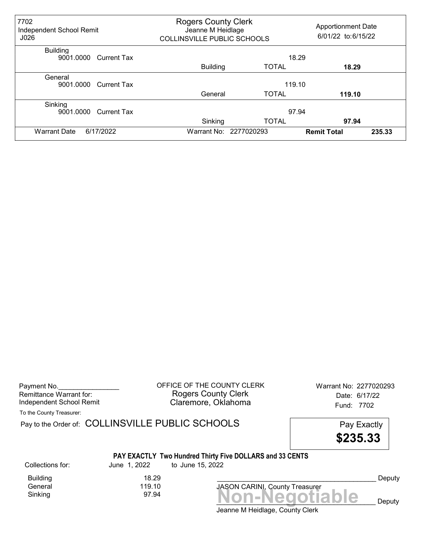| 7702<br>Independent School Remit<br>J026 |                    | <b>Rogers County Clerk</b><br><b>Apportionment Date</b><br>Jeanne M Heidlage<br>6/01/22 to:6/15/22<br>COLLINSVILLE PUBLIC SCHOOLS |                        |                    |        |
|------------------------------------------|--------------------|-----------------------------------------------------------------------------------------------------------------------------------|------------------------|--------------------|--------|
| <b>Building</b><br>9001.0000             | Current Tax        |                                                                                                                                   |                        | 18.29              |        |
|                                          |                    | <b>Building</b>                                                                                                                   | <b>TOTAL</b>           | 18.29              |        |
| General<br>9001.0000                     | <b>Current Tax</b> |                                                                                                                                   | 119.10                 |                    |        |
|                                          |                    | General                                                                                                                           | <b>TOTAL</b>           | 119.10             |        |
| Sinking<br>9001.0000                     | <b>Current Tax</b> |                                                                                                                                   |                        | 97.94              |        |
|                                          |                    | Sinking                                                                                                                           | <b>TOTAL</b>           | 97.94              |        |
| <b>Warrant Date</b>                      | 6/17/2022          |                                                                                                                                   | Warrant No: 2277020293 | <b>Remit Total</b> | 235.33 |

Payment No. 2277020293 COFFICE OF THE COUNTY CLERK Warrant No: 2277020293 Rogers County Clerk Date: 6/17/22 Independent School Remit **Claremore, Oklahoma** Fund: 7702

To the County Treasurer:

Pay to the Order of: COLLINSVILLE PUBLIC SCHOOLS Pay Exactly

\$235.33

# PAY EXACTLY Two Hundred Thirty Five DOLLARS and 33 CENTS

Collections for: June 1, 2022 to June 15, 2022

Building 18.29<br>119.10 Ceneral General

Jeanne M Heidlage, County Clerk  $Sinking$ <br> $Sinking$   $97.94$   $Non-Negotiable$ 

JASON CARINI, County Treasurer

Deputy

 $\mathbf{e}$  Deputy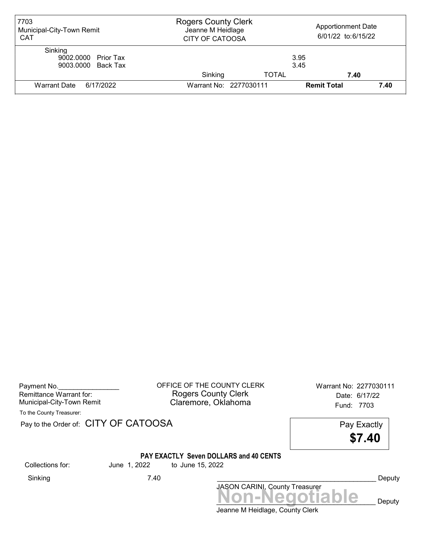| 7703<br>Municipal-City-Town Remit<br><b>CAT</b>      | <b>Rogers County Clerk</b><br>Jeanne M Heidlage<br><b>CITY OF CATOOSA</b> |              | <b>Apportionment Date</b><br>6/01/22 to:6/15/22 |      |  |
|------------------------------------------------------|---------------------------------------------------------------------------|--------------|-------------------------------------------------|------|--|
| Sinking<br>9002.0000 Prior Tax<br>9003.0000 Back Tax |                                                                           |              | 3.95<br>3.45                                    |      |  |
|                                                      | Sinking                                                                   | <b>TOTAL</b> | 7.40                                            |      |  |
| Warrant Date<br>6/17/2022                            | Warrant No: 2277030111                                                    |              | <b>Remit Total</b>                              | 7.40 |  |

Remittance Warrant for:<br>
Municipal-City-Town Remit

Payment No. 2277030111 COUNTY CLERK Warrant No: 2277030111 Rogers County Clerk **Date: 6/17/22** Municipal-City-Town Remit **Example 20 Municipal-City-Town Remit** Claremore, Oklahoma

To the County Treasurer:

Pay to the Order of: CITY OF CATOOSA Pay Exactly



#### PAY EXACTLY Seven DOLLARS and 40 CENTS

Collections for: June 1, 2022 to June 15, 2022

| Sinking | 7.40 |                                       | Deputy |
|---------|------|---------------------------------------|--------|
|         |      | <b>JASON CARINI, County Treasurer</b> |        |
|         |      | Non-Negotiable                        | Deputy |
|         |      | Jeanne M Heidlage, County Clerk       |        |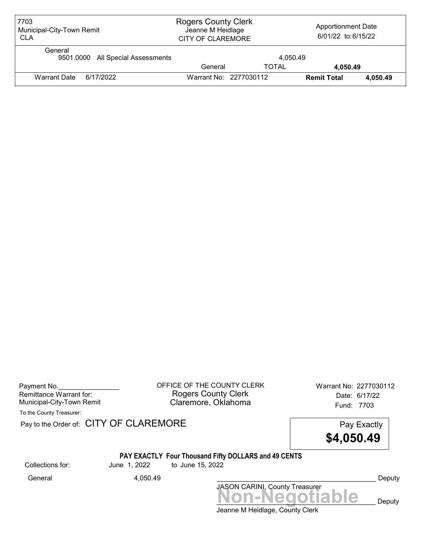| 7703<br>Municipal-City-Town Remit<br><b>CLA</b> | <b>Rogers County Clerk</b><br>Jeanne M Heidlage<br><b>CITY OF CLAREMORE</b> |              | <b>Apportionment Date</b><br>6/01/22 to:6/15/22 |          |
|-------------------------------------------------|-----------------------------------------------------------------------------|--------------|-------------------------------------------------|----------|
| General<br>9501.0000 All Special Assessments    |                                                                             | 4.050.49     |                                                 |          |
|                                                 | General                                                                     | <b>TOTAL</b> | 4.050.49                                        |          |
| <b>Warrant Date</b><br>6/17/2022                | Warrant No: 2277030112                                                      |              | <b>Remit Total</b>                              | 4.050.49 |

| Payment No.               |  |
|---------------------------|--|
| Remittance Warrant for:   |  |
| Municipal-City-Town Remit |  |

OFFICE OF THE COUNTY CLERK Warrant No: 2277030112 Rogers County Clerk Date: 6/17/22 Claremore, Oklahoma<br>Fund: 7703

To the County Treasurer:

Pay to the Order of: CITY OF CLAREMORE Pay to the Order of: CITY OF CLAREMORE



## PAY EXACTLY Four Thousand Fifty DOLLARS and 49 CENTS

Collections for: June 1, 2022 to June 15, 2022

JASON CARINI, County Treasurer<br>
MON-Negotiable Deputy General 4,050.49 \_\_\_\_\_\_\_\_\_\_\_\_\_\_\_\_\_\_\_\_\_\_\_\_\_\_\_\_\_\_\_\_\_\_\_\_\_\_\_\_\_\_ Deputy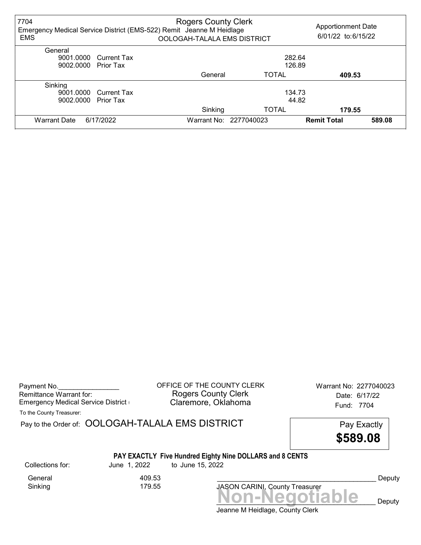| 7704<br>Emergency Medical Service District (EMS-522) Remit Jeanne M Heidlage<br><b>EMS</b> |                       | <b>Rogers County Clerk</b><br>OOLOGAH-TALALA EMS DISTRICT |                        | <b>Apportionment Date</b><br>6/01/22 to:6/15/22 |        |
|--------------------------------------------------------------------------------------------|-----------------------|-----------------------------------------------------------|------------------------|-------------------------------------------------|--------|
| General                                                                                    |                       |                                                           |                        |                                                 |        |
|                                                                                            | 9001.0000 Current Tax |                                                           |                        | 282.64                                          |        |
| 9002.0000 Prior Tax                                                                        |                       |                                                           |                        | 126.89                                          |        |
|                                                                                            |                       | General                                                   | <b>TOTAL</b>           | 409.53                                          |        |
| Sinking                                                                                    |                       |                                                           |                        |                                                 |        |
|                                                                                            | 9001.0000 Current Tax |                                                           |                        | 134.73                                          |        |
| 9002.0000                                                                                  | <b>Prior Tax</b>      |                                                           |                        | 44.82                                           |        |
|                                                                                            |                       | Sinking                                                   | <b>TOTAL</b>           | 179.55                                          |        |
| <b>Warrant Date</b>                                                                        | 6/17/2022             |                                                           | Warrant No: 2277040023 | <b>Remit Total</b>                              | 589.08 |

| Payment No.                        |  |
|------------------------------------|--|
| Remittance Warrant for:            |  |
| Emergency Medical Service District |  |

OFFICE OF THE COUNTY CLERK Warrant No: 2277040023 Rogers County Clerk Date: 6/17/22 Claremore, Oklahoma **Emergency Claremore, Oklahoma** 

To the County Treasurer:

| Pay to the Order of: OOLOGAH-TALALA EMS DISTRICT |  |
|--------------------------------------------------|--|
|                                                  |  |

Pay Exactly \$589.08

# PAY EXACTLY Five Hundred Eighty Nine DOLLARS and 8 CENTS

Sinking

General 409.53<br>Sinking 179.55

Collections for: June 1, 2022 to June 15, 2022

Deputy

Jeanne M Heidlage, County Clerk JASON CARINI, County Treasurer<br>
MON-Negotiable Deputy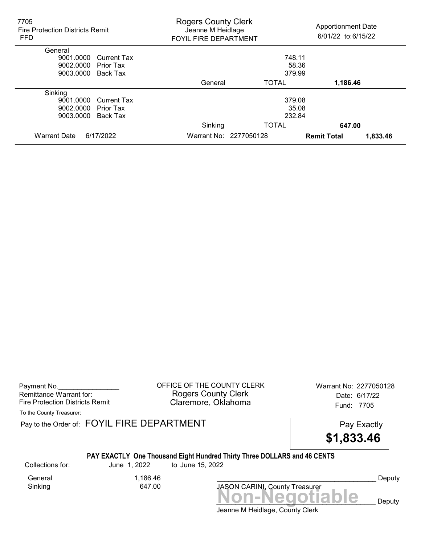| 7705<br><b>Fire Protection Districts Remit</b><br><b>FFD</b> | <b>Rogers County Clerk</b><br>Jeanne M Heidlage<br><b>FOYIL FIRE DEPARTMENT</b> |                        | <b>Apportionment Date</b><br>6/01/22 to:6/15/22 |          |
|--------------------------------------------------------------|---------------------------------------------------------------------------------|------------------------|-------------------------------------------------|----------|
| General                                                      |                                                                                 |                        |                                                 |          |
| 9001.0000<br><b>Current Tax</b>                              |                                                                                 | 748.11                 |                                                 |          |
| 9002.0000<br><b>Prior Tax</b>                                |                                                                                 | 58.36                  |                                                 |          |
| 9003.0000<br>Back Tax                                        |                                                                                 | 379.99                 |                                                 |          |
|                                                              | General                                                                         | <b>TOTAL</b>           | 1,186.46                                        |          |
| Sinking                                                      |                                                                                 |                        |                                                 |          |
| 9001.0000<br><b>Current Tax</b>                              |                                                                                 | 379.08                 |                                                 |          |
| 9002.0000<br><b>Prior Tax</b>                                |                                                                                 | 35.08                  |                                                 |          |
| 9003.0000<br>Back Tax                                        |                                                                                 | 232.84                 |                                                 |          |
|                                                              | Sinking                                                                         | <b>TOTAL</b>           | 647.00                                          |          |
| 6/17/2022<br><b>Warrant Date</b>                             |                                                                                 | Warrant No: 2277050128 | <b>Remit Total</b>                              | 1,833.46 |

| Payment No.                     |
|---------------------------------|
| Remittance Warrant for:         |
| Fire Protection Districts Remit |

OFFICE OF THE COUNTY CLERK Warrant No: 2277050128 Rogers County Clerk Date: 6/17/22 Claremore, Oklahoma Fund: 7705

To the County Treasurer:

Pay to the Order of: FOYIL FIRE DEPARTMENT FRAME Pay Exactly



### PAY EXACTLY One Thousand Eight Hundred Thirty Three DOLLARS and 46 CENTS

Collections for: June 1, 2022 to June 15, 2022

General 1,186.46<br>Sinking 647.00 Sinking

JASON CARINI, County Treasurer<br>
MON-Negotiable Deputy

Deputy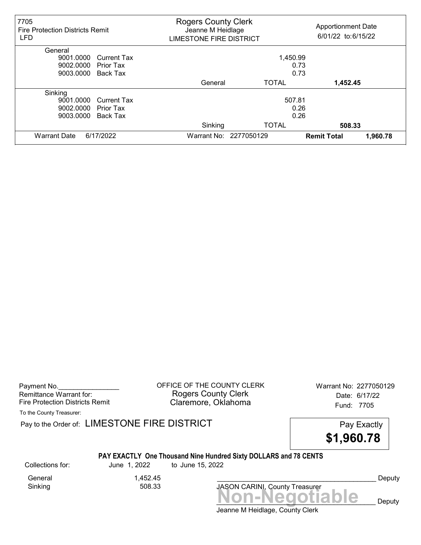| 7705<br><b>Fire Protection Districts Remit</b><br><b>LFD</b> | <b>Rogers County Clerk</b><br>Jeanne M Heidlage<br>LIMESTONE FIRE DISTRICT |                        | <b>Apportionment Date</b><br>6/01/22 to:6/15/22 |
|--------------------------------------------------------------|----------------------------------------------------------------------------|------------------------|-------------------------------------------------|
| General                                                      |                                                                            |                        |                                                 |
| 9001.0000<br><b>Current Tax</b>                              |                                                                            | 1,450.99               |                                                 |
| 9002.0000<br>Prior Tax                                       |                                                                            | 0.73                   |                                                 |
| 9003.0000<br>Back Tax                                        |                                                                            | 0.73                   |                                                 |
|                                                              | General                                                                    | TOTAL                  | 1,452.45                                        |
| Sinking                                                      |                                                                            |                        |                                                 |
| 9001.0000<br><b>Current Tax</b>                              |                                                                            | 507.81                 |                                                 |
| 9002.0000<br>Prior Tax                                       |                                                                            | 0.26                   |                                                 |
| 9003.0000<br>Back Tax                                        |                                                                            | 0.26                   |                                                 |
|                                                              | Sinking                                                                    | <b>TOTAL</b>           | 508.33                                          |
| <b>Warrant Date</b><br>6/17/2022                             |                                                                            | Warrant No: 2277050129 | <b>Remit Total</b><br>1,960.78                  |

Payment No. 2277050129 COFFICE OF THE COUNTY CLERK Warrant No: 2277050129 Rogers County Clerk Date: 6/17/22 Fire Protection Districts Remit **Claremore, Oklahoma** Fund: 7705

To the County Treasurer:

Pay to the Order of: LIMESTONE FIRE DISTRICT Pay Exactly Pay Exactly



## PAY EXACTLY One Thousand Nine Hundred Sixty DOLLARS and 78 CENTS

General 1,452.45<br>Sinking 508.33 Sinking

Collections for: June 1, 2022 to June 15, 2022

JASON CARINI, County Treasurer

Deputy

Jeanne M Heidlage, County Clerk Non-Negotiable Deputy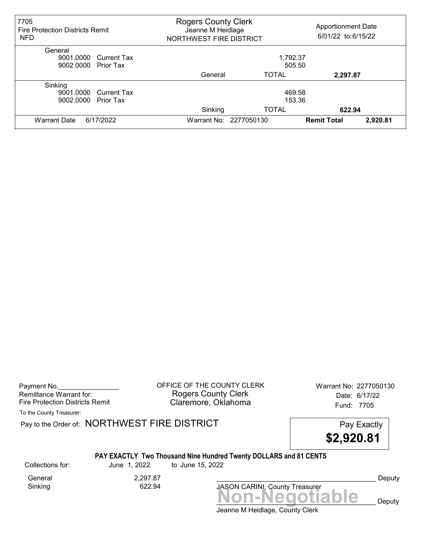| 7705<br><b>Fire Protection Districts Remit</b><br><b>NFD</b>      | <b>Rogers County Clerk</b><br>Jeanne M Heidlage<br>NORTHWEST FIRE DISTRICT |                                  | <b>Apportionment Date</b><br>6/01/22 to:6/15/22 |          |
|-------------------------------------------------------------------|----------------------------------------------------------------------------|----------------------------------|-------------------------------------------------|----------|
| General<br>9001.0000 Current Tax<br>9002.0000 Prior Tax           |                                                                            | 1,792.37<br>505.50               |                                                 |          |
|                                                                   | General                                                                    | <b>TOTAL</b>                     | 2,297.87                                        |          |
| Sinking<br>9001.0000 Current Tax<br>9002.0000<br><b>Prior Tax</b> | Sinking                                                                    | 469.58<br>153.36<br><b>TOTAL</b> | 622.94                                          |          |
| 6/17/2022<br><b>Warrant Date</b>                                  |                                                                            | Warrant No: 2277050130           | <b>Remit Total</b>                              | 2,920.81 |

Payment No. 2277050130 CHEICE OF THE COUNTY CLERK Warrant No: 2277050130 Rogers County Clerk Date: 6/17/22 Fire Protection Districts Remit **Claremore, Oklahoma** Fund: 7705

To the County Treasurer:

Pay to the Order of: NORTHWEST FIRE DISTRICT FIRE Pay Exactly

\$2,920.81

#### PAY EXACTLY Two Thousand Nine Hundred Twenty DOLLARS and 81 CENTS

Sinking

Collections for: June 1, 2022 to June 15, 2022

General 2,297.87<br>Sinking 622.94

Non-Negotiable Deputy JASON CARINI, County Treasurer

Deputy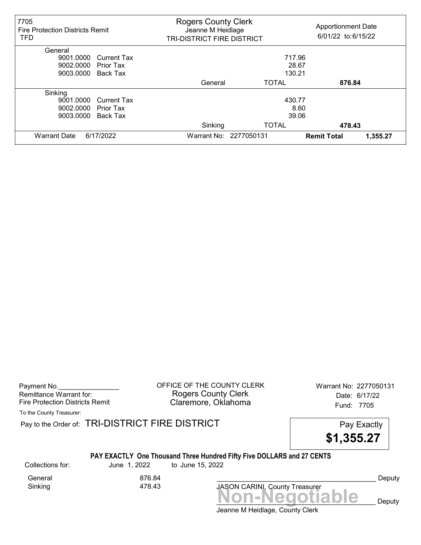| 7705<br><b>Fire Protection Districts Remit</b><br><b>TFD</b> | <b>Rogers County Clerk</b><br>Jeanne M Heidlage<br><b>TRI-DISTRICT FIRE DISTRICT</b> |                        | <b>Apportionment Date</b><br>6/01/22 to:6/15/22 |
|--------------------------------------------------------------|--------------------------------------------------------------------------------------|------------------------|-------------------------------------------------|
| General                                                      |                                                                                      |                        |                                                 |
| 9001.0000<br><b>Current Tax</b>                              |                                                                                      | 717.96                 |                                                 |
| 9002.0000<br>Prior Tax                                       |                                                                                      | 28.67                  |                                                 |
| 9003.0000<br>Back Tax                                        |                                                                                      | 130.21                 |                                                 |
|                                                              | General                                                                              | <b>TOTAL</b>           | 876.84                                          |
| Sinking                                                      |                                                                                      |                        |                                                 |
| 9001.0000<br><b>Current Tax</b>                              |                                                                                      | 430.77                 |                                                 |
| 9002.0000<br><b>Prior Tax</b>                                |                                                                                      | 8.60                   |                                                 |
| Back Tax<br>9003.0000                                        |                                                                                      | 39.06                  |                                                 |
|                                                              | Sinking                                                                              | <b>TOTAL</b>           | 478.43                                          |
| 6/17/2022<br><b>Warrant Date</b>                             |                                                                                      | Warrant No: 2277050131 | <b>Remit Total</b><br>1,355.27                  |

Payment No. 2277050131 CONTICE OF THE COUNTY CLERK Warrant No: 2277050131 Rogers County Clerk Date: 6/17/22 Fire Protection Districts Remit **Claremore, Oklahoma** Fund: 7705

To the County Treasurer:

Pay to the Order of: TRI-DISTRICT FIRE DISTRICT **Pay Exactly** Pay Exactly

\$1,355.27

#### PAY EXACTLY One Thousand Three Hundred Fifty Five DOLLARS and 27 CENTS

General 876.84<br>Sinking 478.43 Sinking

Collections for: June 1, 2022 to June 15, 2022

Non-Negotiable Deputy JASON CARINI, County Treasurer

Deputy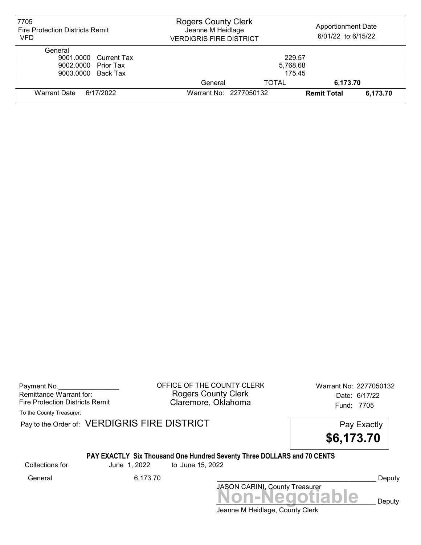| 7705<br><b>Fire Protection Districts Remit</b><br><b>VFD</b>                  | <b>Rogers County Clerk</b><br>Jeanne M Heidlage<br><b>VERDIGRIS FIRE DISTRICT</b> |                              | <b>Apportionment Date</b><br>6/01/22 to:6/15/22 |          |
|-------------------------------------------------------------------------------|-----------------------------------------------------------------------------------|------------------------------|-------------------------------------------------|----------|
| General<br>9001.0000 Current Tax<br>9002.0000 Prior Tax<br>9003.0000 Back Tax |                                                                                   | 229.57<br>5,768.68<br>175.45 |                                                 |          |
|                                                                               | General                                                                           | <b>TOTAL</b>                 | 6,173.70                                        |          |
| Warrant Date<br>6/17/2022                                                     | Warrant No: 2277050132                                                            |                              | <b>Remit Total</b>                              | 6,173.70 |

Payment No. 2277050132 COFFICE OF THE COUNTY CLERK Warrant No: 2277050132 Rogers County Clerk Date: 6/17/22 Fire Protection Districts Remit **Claremore, Oklahoma** Fund: 7705

To the County Treasurer:

Pay to the Order of: VERDIGRIS FIRE DISTRICT Pay Exactly

\$6,173.70

#### PAY EXACTLY Six Thousand One Hundred Seventy Three DOLLARS and 70 CENTS

Collections for: June 1, 2022 to June 15, 2022

Non-Negotiable Deputy JASON CARINI, County Treasurer General 6,173.70 \_\_\_\_\_\_\_\_\_\_\_\_\_\_\_\_\_\_\_\_\_\_\_\_\_\_\_\_\_\_\_\_\_\_\_\_\_\_\_\_\_\_ Deputy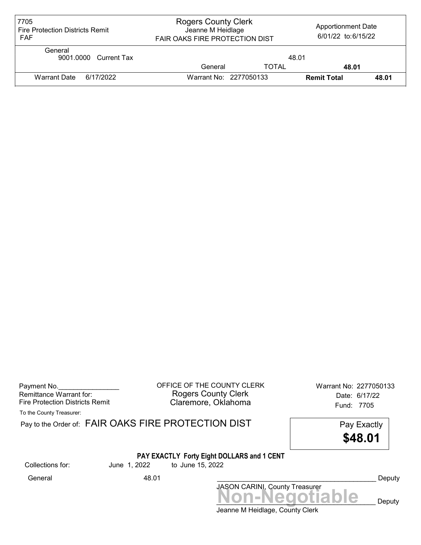| 7705<br><b>Fire Protection Districts Remit</b><br><b>FAF</b> | <b>Rogers County Clerk</b><br>Jeanne M Heidlage<br>FAIR OAKS FIRE PROTECTION DIST |              | <b>Apportionment Date</b><br>6/01/22 to:6/15/22 |       |
|--------------------------------------------------------------|-----------------------------------------------------------------------------------|--------------|-------------------------------------------------|-------|
| General<br>9001.0000 Current Tax                             |                                                                                   | 48.01        |                                                 |       |
|                                                              | General                                                                           | <b>TOTAL</b> | 48.01                                           |       |
| <b>Warrant Date</b><br>6/17/2022                             | Warrant No: 2277050133                                                            |              | <b>Remit Total</b>                              | 48.01 |

| Payment No.                     |
|---------------------------------|
| Remittance Warrant for:         |
| Fire Protection Districts Remit |

Payment No.\_\_\_\_\_\_\_\_\_\_\_\_\_\_\_\_ OFFICE OF THE COUNTY CLERK Warrant No: 2277050133 Rogers County Clerk **Date: 6/17/22** Fire Protection Districts Remit **Exercise Claremore, Oklahoma** Fund: 7705

To the County Treasurer:

|                  |              | Pay to the Order of: FAIR OAKS FIRE PROTECTION DIST<br>Pay Exactly<br>\$48.01 |        |
|------------------|--------------|-------------------------------------------------------------------------------|--------|
| Collections for: | June 1, 2022 | PAY EXACTLY Forty Eight DOLLARS and 1 CENT<br>to June 15, 2022                |        |
| General          | 48.01        |                                                                               | Deputy |
|                  |              | JASON CARINI, County Treasurer<br>Non-Negotiable                              | Deputy |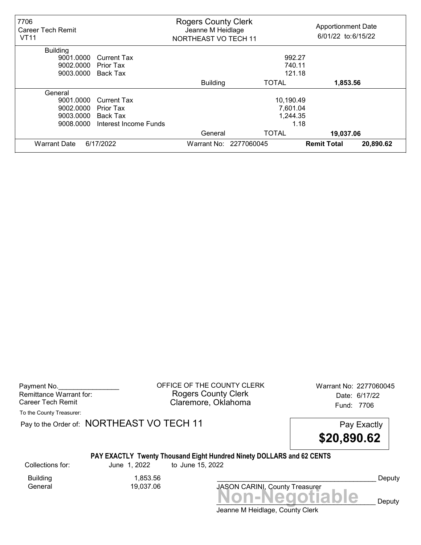| 7706<br>Career Tech Remit<br><b>VT11</b> |                       | <b>Rogers County Clerk</b><br>Jeanne M Heidlage<br>NORTHEAST VO TECH 11 |                        | <b>Apportionment Date</b><br>6/01/22 to:6/15/22 |           |
|------------------------------------------|-----------------------|-------------------------------------------------------------------------|------------------------|-------------------------------------------------|-----------|
| <b>Building</b>                          |                       |                                                                         |                        |                                                 |           |
| 9001.0000                                | <b>Current Tax</b>    |                                                                         | 992.27                 |                                                 |           |
| 9002.0000                                | Prior Tax             |                                                                         | 740.11                 |                                                 |           |
| 9003.0000                                | Back Tax              |                                                                         | 121.18                 |                                                 |           |
|                                          |                       | <b>Building</b>                                                         | <b>TOTAL</b>           | 1,853.56                                        |           |
| General                                  |                       |                                                                         |                        |                                                 |           |
| 9001.0000                                | <b>Current Tax</b>    |                                                                         | 10,190.49              |                                                 |           |
| 9002.0000                                | Prior Tax             |                                                                         | 7,601.04               |                                                 |           |
| 9003.0000                                | Back Tax              |                                                                         | 1,244.35               |                                                 |           |
| 9008.0000                                | Interest Income Funds |                                                                         | 1.18                   |                                                 |           |
|                                          |                       | General                                                                 | <b>TOTAL</b>           | 19,037.06                                       |           |
| <b>Warrant Date</b>                      | 6/17/2022             |                                                                         | Warrant No: 2277060045 | <b>Remit Total</b>                              | 20,890.62 |

Payment No. 2277060045 Rogers County Clerk Date: 6/17/22 Career Tech Remit **Claremore, Oklahoma Career Tech Remit 17706** 

To the County Treasurer:

Pay to the Order of: NORTHEAST VO TECH 11 Pay Exactly



## PAY EXACTLY Twenty Thousand Eight Hundred Ninety DOLLARS and 62 CENTS

Collections for: June 1, 2022 to June 15, 2022

Building 1,853.56

19,037.06

Non-Negotiable Deputy JASON CARINI, County Treasurer

Deputy